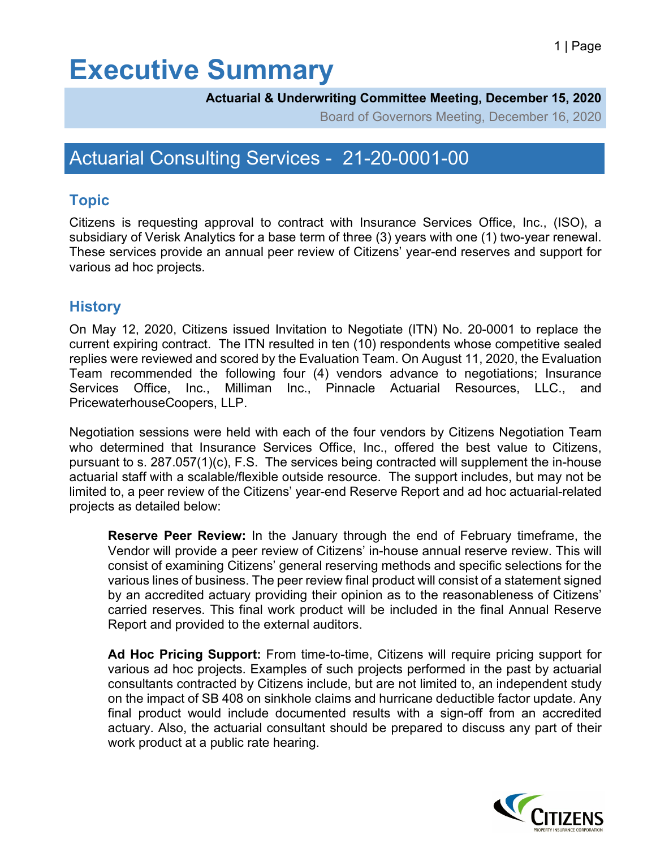# **Executive Summary**

#### **Actuarial & Underwriting Committee Meeting, December 15, 2020**

Board of Governors Meeting, December 16, 2020

### Actuarial Consulting Services - 21-20-0001-00

#### **Topic**

Citizens is requesting approval to contract with Insurance Services Office, Inc., (ISO), a subsidiary of Verisk Analytics for a base term of three (3) years with one (1) two-year renewal. These services provide an annual peer review of Citizens' year-end reserves and support for various ad hoc projects.

#### **History**

On May 12, 2020, Citizens issued Invitation to Negotiate (ITN) No. 20-0001 to replace the current expiring contract. The ITN resulted in ten (10) respondents whose competitive sealed replies were reviewed and scored by the Evaluation Team. On August 11, 2020, the Evaluation Team recommended the following four (4) vendors advance to negotiations; Insurance Services Office, Inc., Milliman Inc., Pinnacle Actuarial Resources, LLC., and PricewaterhouseCoopers, LLP.

Negotiation sessions were held with each of the four vendors by Citizens Negotiation Team who determined that Insurance Services Office, Inc., offered the best value to Citizens, pursuant to s. 287.057(1)(c), F.S. The services being contracted will supplement the in-house actuarial staff with a scalable/flexible outside resource. The support includes, but may not be limited to, a peer review of the Citizens' year-end Reserve Report and ad hoc actuarial-related projects as detailed below:

**Reserve Peer Review:** In the January through the end of February timeframe, the Vendor will provide a peer review of Citizens' in-house annual reserve review. This will consist of examining Citizens' general reserving methods and specific selections for the various lines of business. The peer review final product will consist of a statement signed by an accredited actuary providing their opinion as to the reasonableness of Citizens' carried reserves. This final work product will be included in the final Annual Reserve Report and provided to the external auditors.

**Ad Hoc Pricing Support:** From time-to-time, Citizens will require pricing support for various ad hoc projects. Examples of such projects performed in the past by actuarial consultants contracted by Citizens include, but are not limited to, an independent study on the impact of SB 408 on sinkhole claims and hurricane deductible factor update. Any final product would include documented results with a sign-off from an accredited actuary. Also, the actuarial consultant should be prepared to discuss any part of their work product at a public rate hearing.

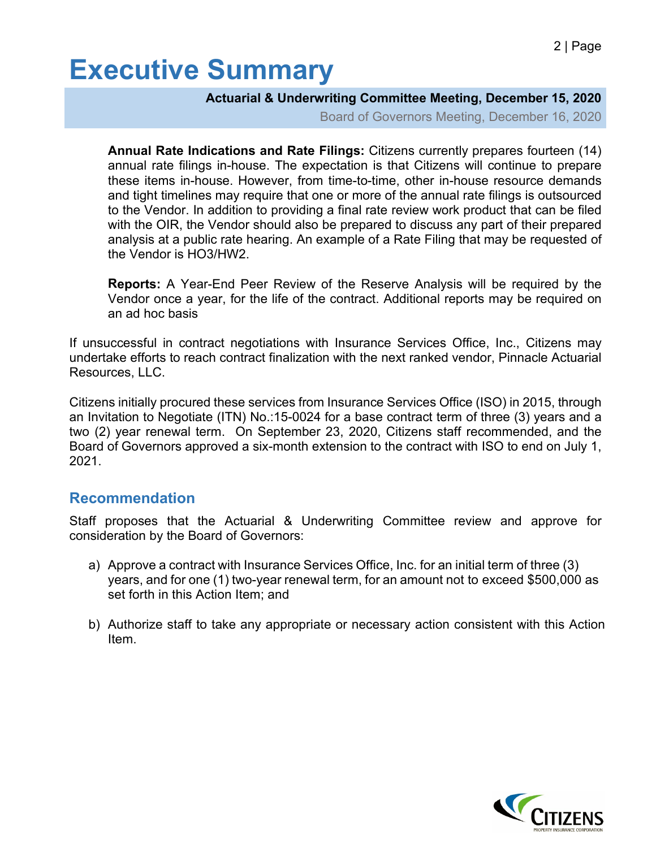# **Executive Summary**

#### **Actuarial & Underwriting Committee Meeting, December 15, 2020**

Board of Governors Meeting, December 16, 2020

**Annual Rate Indications and Rate Filings:** Citizens currently prepares fourteen (14) annual rate filings in-house. The expectation is that Citizens will continue to prepare these items in-house. However, from time-to-time, other in-house resource demands and tight timelines may require that one or more of the annual rate filings is outsourced to the Vendor. In addition to providing a final rate review work product that can be filed with the OIR, the Vendor should also be prepared to discuss any part of their prepared analysis at a public rate hearing. An example of a Rate Filing that may be requested of the Vendor is HO3/HW2.

**Reports:** A Year-End Peer Review of the Reserve Analysis will be required by the Vendor once a year, for the life of the contract. Additional reports may be required on an ad hoc basis

If unsuccessful in contract negotiations with Insurance Services Office, Inc., Citizens may undertake efforts to reach contract finalization with the next ranked vendor, Pinnacle Actuarial Resources, LLC.

Citizens initially procured these services from Insurance Services Office (ISO) in 2015, through an Invitation to Negotiate (ITN) No.:15-0024 for a base contract term of three (3) years and a two (2) year renewal term. On September 23, 2020, Citizens staff recommended, and the Board of Governors approved a six-month extension to the contract with ISO to end on July 1, 2021.

#### **Recommendation**

Staff proposes that the Actuarial & Underwriting Committee review and approve for consideration by the Board of Governors:

- a) Approve a contract with Insurance Services Office, Inc. for an initial term of three (3) years, and for one (1) two-year renewal term, for an amount not to exceed \$500,000 as set forth in this Action Item; and
- b) Authorize staff to take any appropriate or necessary action consistent with this Action Item.

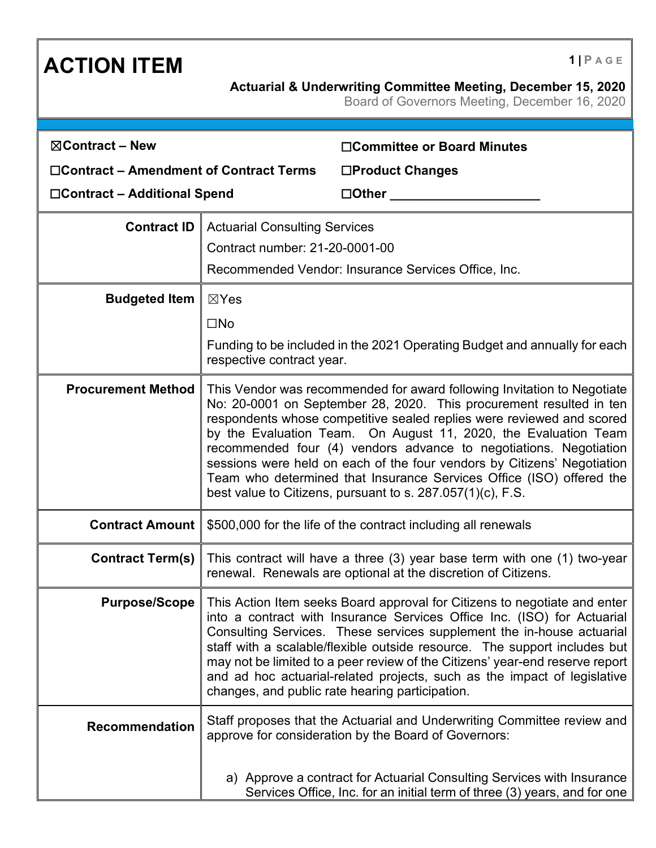### **ACTION ITEM 1 PAGE**

**Actuarial & Underwriting Committee Meeting, December 15, 2020**

Board of Governors Meeting, December 16, 2020

| $\boxtimes$ Contract – New                    |                                                                                                                                                                                                                                                                                                                                                                                                                                                                                                                                                                                  | □Committee or Board Minutes                                                                                                                                                                                                                                                                                                                                                                                                                                                                                               |
|-----------------------------------------------|----------------------------------------------------------------------------------------------------------------------------------------------------------------------------------------------------------------------------------------------------------------------------------------------------------------------------------------------------------------------------------------------------------------------------------------------------------------------------------------------------------------------------------------------------------------------------------|---------------------------------------------------------------------------------------------------------------------------------------------------------------------------------------------------------------------------------------------------------------------------------------------------------------------------------------------------------------------------------------------------------------------------------------------------------------------------------------------------------------------------|
| $\Box$ Contract – Amendment of Contract Terms |                                                                                                                                                                                                                                                                                                                                                                                                                                                                                                                                                                                  | □Product Changes                                                                                                                                                                                                                                                                                                                                                                                                                                                                                                          |
| □Contract – Additional Spend                  |                                                                                                                                                                                                                                                                                                                                                                                                                                                                                                                                                                                  | $\Box$ Other                                                                                                                                                                                                                                                                                                                                                                                                                                                                                                              |
| <b>Contract ID</b>                            | <b>Actuarial Consulting Services</b>                                                                                                                                                                                                                                                                                                                                                                                                                                                                                                                                             |                                                                                                                                                                                                                                                                                                                                                                                                                                                                                                                           |
|                                               | Contract number: 21-20-0001-00                                                                                                                                                                                                                                                                                                                                                                                                                                                                                                                                                   |                                                                                                                                                                                                                                                                                                                                                                                                                                                                                                                           |
|                                               | Recommended Vendor: Insurance Services Office, Inc.                                                                                                                                                                                                                                                                                                                                                                                                                                                                                                                              |                                                                                                                                                                                                                                                                                                                                                                                                                                                                                                                           |
| <b>Budgeted Item</b>                          | $\boxtimes$ Yes                                                                                                                                                                                                                                                                                                                                                                                                                                                                                                                                                                  |                                                                                                                                                                                                                                                                                                                                                                                                                                                                                                                           |
|                                               | $\square$ No                                                                                                                                                                                                                                                                                                                                                                                                                                                                                                                                                                     |                                                                                                                                                                                                                                                                                                                                                                                                                                                                                                                           |
|                                               | respective contract year.                                                                                                                                                                                                                                                                                                                                                                                                                                                                                                                                                        | Funding to be included in the 2021 Operating Budget and annually for each                                                                                                                                                                                                                                                                                                                                                                                                                                                 |
| <b>Procurement Method</b>                     | This Vendor was recommended for award following Invitation to Negotiate<br>No: 20-0001 on September 28, 2020. This procurement resulted in ten<br>respondents whose competitive sealed replies were reviewed and scored<br>by the Evaluation Team. On August 11, 2020, the Evaluation Team<br>recommended four (4) vendors advance to negotiations. Negotiation<br>sessions were held on each of the four vendors by Citizens' Negotiation<br>Team who determined that Insurance Services Office (ISO) offered the<br>best value to Citizens, pursuant to s. 287.057(1)(c), F.S. |                                                                                                                                                                                                                                                                                                                                                                                                                                                                                                                           |
| <b>Contract Amount</b>                        |                                                                                                                                                                                                                                                                                                                                                                                                                                                                                                                                                                                  | \$500,000 for the life of the contract including all renewals                                                                                                                                                                                                                                                                                                                                                                                                                                                             |
| <b>Contract Term(s)</b>                       |                                                                                                                                                                                                                                                                                                                                                                                                                                                                                                                                                                                  | This contract will have a three (3) year base term with one (1) two-year<br>renewal. Renewals are optional at the discretion of Citizens.                                                                                                                                                                                                                                                                                                                                                                                 |
| <b>Purpose/Scope</b>                          |                                                                                                                                                                                                                                                                                                                                                                                                                                                                                                                                                                                  | This Action Item seeks Board approval for Citizens to negotiate and enter<br>into a contract with Insurance Services Office Inc. (ISO) for Actuarial<br>Consulting Services. These services supplement the in-house actuarial<br>staff with a scalable/flexible outside resource. The support includes but<br>may not be limited to a peer review of the Citizens' year-end reserve report<br>and ad hoc actuarial-related projects, such as the impact of legislative<br>changes, and public rate hearing participation. |
| <b>Recommendation</b>                         |                                                                                                                                                                                                                                                                                                                                                                                                                                                                                                                                                                                  | Staff proposes that the Actuarial and Underwriting Committee review and<br>approve for consideration by the Board of Governors:                                                                                                                                                                                                                                                                                                                                                                                           |
|                                               |                                                                                                                                                                                                                                                                                                                                                                                                                                                                                                                                                                                  | a) Approve a contract for Actuarial Consulting Services with Insurance<br>Services Office, Inc. for an initial term of three (3) years, and for one                                                                                                                                                                                                                                                                                                                                                                       |